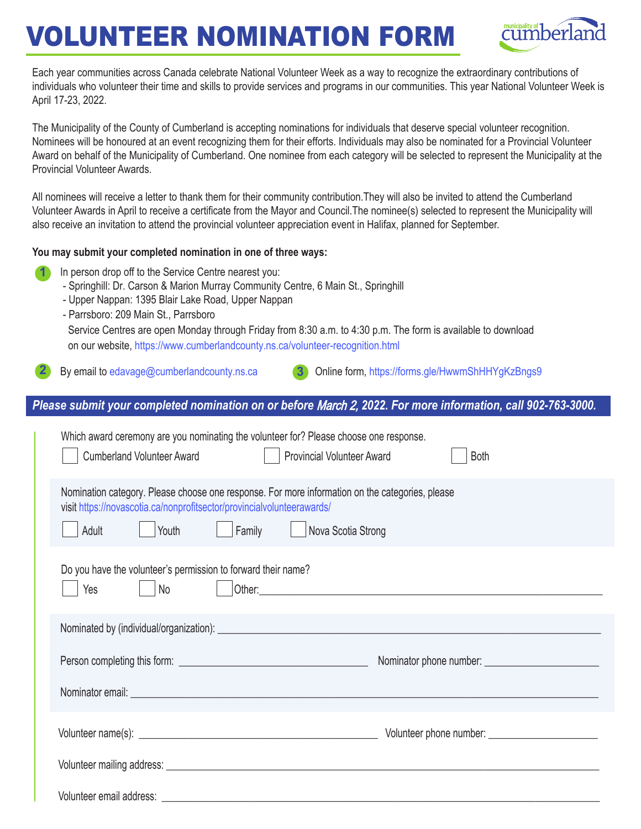## VOLUNTEER NOMINATION FORM



Each year communities across Canada celebrate National Volunteer Week as a way to recognize the extraordinary contributions of individuals who volunteer their time and skills to provide services and programs in our communities. This year National Volunteer Week is April 17-23, 2022.

The Municipality of the County of Cumberland is accepting nominations for individuals that deserve special volunteer recognition. Nominees will be honoured at an event recognizing them for their efforts. Individuals may also be nominated for a Provincial Volunteer Award on behalf of the Municipality of Cumberland. One nominee from each category will be selected to represent the Municipality at the Provincial Volunteer Awards.

All nominees will receive a letter to thank them for their community contribution.They will also be invited to attend the Cumberland Volunteer Awards in April to receive a certificate from the Mayor and Council.The nominee(s) selected to represent the Municipality will also receive an invitation to attend the provincial volunteer appreciation event in Halifax, planned for September.

## **You may submit your completed nomination in one of three ways:**

- **1**
- In person drop off to the Service Centre nearest you:
- Springhill: Dr. Carson & Marion Murray Community Centre, 6 Main St., Springhill
- Upper Nappan: 1395 Blair Lake Road, Upper Nappan
- Parrsboro: 209 Main St., Parrsboro

Service Centres are open Monday through Friday from 8:30 a.m. to 4:30 p.m. The form is available to download on our website, https://www.cumberlandcounty.ns.ca/volunteer-recognition.html

By email to edavage@cumberlandcounty.ns.ca

**3** Online form, https://forms.gle/HwwmShHHYgKzBngs9

## *Please submit your completed nomination on or before* March 2, *2022. For more information, call 902-763-3000.*

| Which award ceremony are you nominating the volunteer for? Please choose one response.<br><b>Cumberland Volunteer Award</b><br><b>Provincial Volunteer Award</b><br><b>Both</b>                                                                                                                              |
|--------------------------------------------------------------------------------------------------------------------------------------------------------------------------------------------------------------------------------------------------------------------------------------------------------------|
| Nomination category. Please choose one response. For more information on the categories, please<br>visit https://novascotia.ca/nonprofitsector/provincialvolunteerawards/<br>Youth<br>Family  <br>Nova Scotia Strong<br>Adult                                                                                |
| Do you have the volunteer's permission to forward their name?<br>No<br>Other: contract the contract of the contract of the contract of the contract of the contract of the contract of the contract of the contract of the contract of the contract of the contract of the contract of the contract o<br>Yes |
|                                                                                                                                                                                                                                                                                                              |
|                                                                                                                                                                                                                                                                                                              |
| Nominator email: <u>example and the contract of the contract of the contract of the contract of the contract of the contract of the contract of the contract of the contract of the contract of the contract of the contract of </u>                                                                         |
|                                                                                                                                                                                                                                                                                                              |
|                                                                                                                                                                                                                                                                                                              |
|                                                                                                                                                                                                                                                                                                              |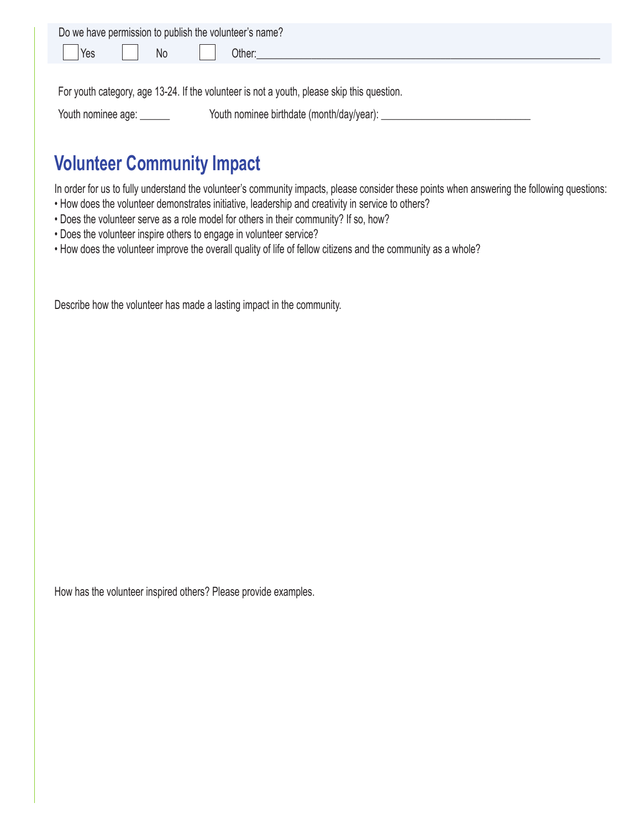| Do we have permission to publish the volunteer's name? |                 |  |  |        |  |  |
|--------------------------------------------------------|-----------------|--|--|--------|--|--|
| <b>Yes</b>                                             | <b>II</b> No II |  |  | Other: |  |  |
|                                                        |                 |  |  |        |  |  |

For youth category, age 13-24. If the volunteer is not a youth, please skip this question.

Youth nominee age: \_\_\_\_\_\_\_\_\_\_\_\_\_\_\_ Youth nominee birthdate (month/day/year): \_\_\_\_\_\_\_\_\_\_\_\_\_\_\_\_\_\_\_\_\_\_\_

## **Volunteer Community Impact**

In order for us to fully understand the volunteer's community impacts, please consider these points when answering the following questions:

- How does the volunteer demonstrates initiative, leadership and creativity in service to others?
- Does the volunteer serve as a role model for others in their community? If so, how?
- Does the volunteer inspire others to engage in volunteer service?
- How does the volunteer improve the overall quality of life of fellow citizens and the community as a whole?

Describe how the volunteer has made a lasting impact in the community.

How has the volunteer inspired others? Please provide examples.